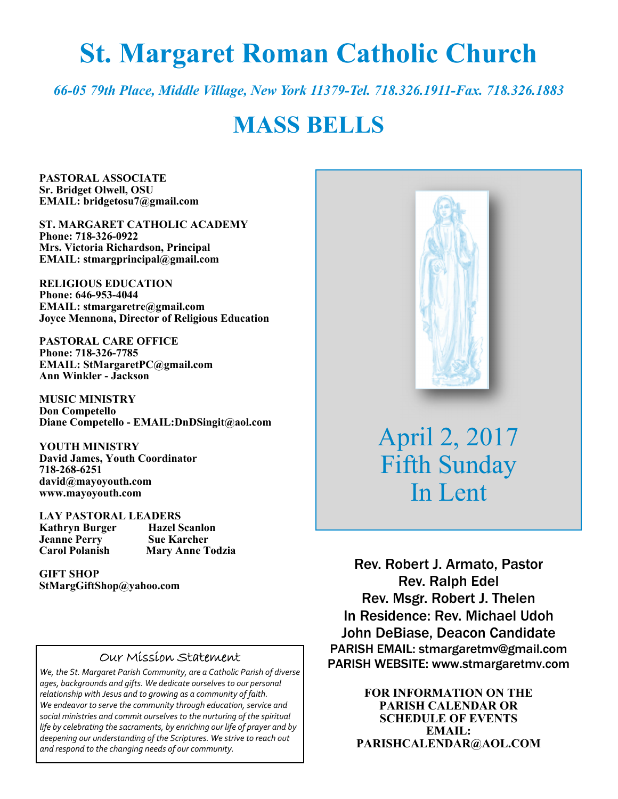# **St. Margaret Roman Catholic Church**

*66-05 79th Place, Middle Village, New York 11379-Tel. 718.326.1911-Fax. 718.326.1883* 

# **MASS BELLS**

**PASTORAL ASSOCIATE Sr. Bridget Olwell, OSU EMAIL: bridgetosu7@gmail.com** 

**ST. MARGARET CATHOLIC ACADEMY Phone: 718-326-0922 Mrs. Victoria Richardson, Principal EMAIL: stmargprincipal@gmail.com** 

**RELIGIOUS EDUCATION Phone: 646-953-4044 EMAIL: stmargaretre@gmail.com Joyce Mennona, Director of Religious Education** 

**PASTORAL CARE OFFICE Phone: 718-326-7785 EMAIL: StMargaretPC@gmail.com Ann Winkler - Jackson** 

**MUSIC MINISTRY Don Competello Diane Competello - EMAIL:DnDSingit@aol.com** 

**YOUTH MINISTRY David James, Youth Coordinator 718-268-6251 david@mayoyouth.com www.mayoyouth.com** 

**LAY PASTORAL LEADERS Kathryn Burger Hazel Scanlon Jeanne Perry Carol Polanish Mary Anne Todzia** 

**GIFT SHOP StMargGiftShop@yahoo.com**

#### Our Mission Statement

*We, the St. Margaret Parish Community, are a Catholic Parish of diverse ages, backgrounds and gifts. We dedicate ourselves to our personal relationship with Jesus and to growing as a community of faith. We endeavor to serve the community through education, service and social ministries and commit ourselves to the nurturing of the spiritual life by celebrating the sacraments, by enriching our life of prayer and by deepening our understanding of the Scriptures. We strive to reach out and respond to the changing needs of our community.*



April 2, 2017 Fifth Sunday In Lent

Rev. Robert J. Armato, Pastor Rev. Ralph Edel Rev. Msgr. Robert J. Thelen In Residence: Rev. Michael Udoh John DeBiase, Deacon Candidate PARISH EMAIL: stmargaretmv@gmail.com PARISH WEBSITE: www.stmargaretmv.com

> **FOR INFORMATION ON THE PARISH CALENDAR OR SCHEDULE OF EVENTS EMAIL: PARISHCALENDAR@AOL.COM**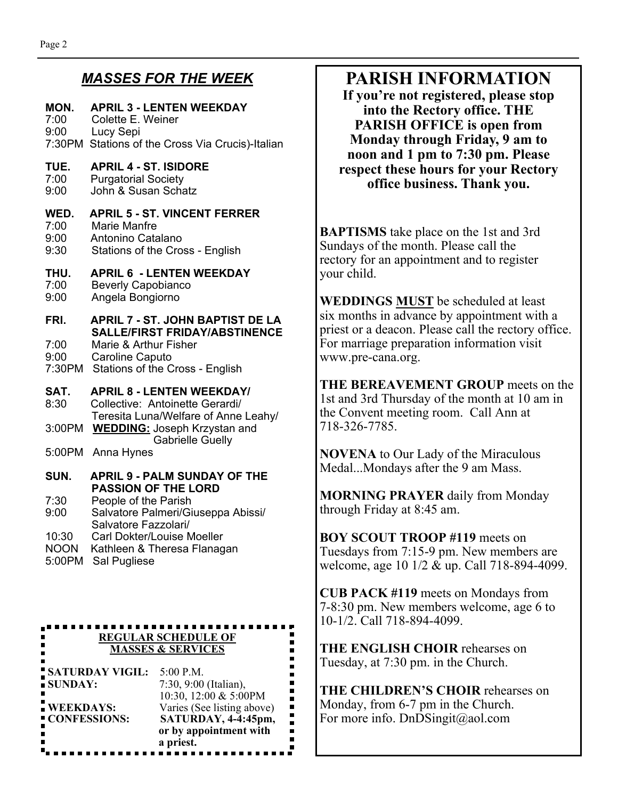## *MASSES FOR THE WEEK*

#### **MON. APRIL 3 - LENTEN WEEKDAY**  7:00 Colette E. Weiner 9:00 Lucy Sepi 7:30PM Stations of the Cross Via Crucis)-Italian **TUE. APRIL 4 - ST. ISIDORE**  7:00 Purgatorial Society<br>9:00 John & Susan Scha John & Susan Schatz **WED. APRIL 5 - ST. VINCENT FERRER**  7:00 Marie Manfre 9:00 Antonino Catalano 9:30 Stations of the Cross - English **THU. APRIL 6 - LENTEN WEEKDAY**  7:00 Beverly Capobianco<br>9:00 Angela Bongiorno Angela Bongiorno **FRI. APRIL 7 - ST. JOHN BAPTIST DE LA SALLE/FIRST FRIDAY/ABSTINENCE**  7:00 Marie & Arthur Fisher 9:00 Caroline Caputo 7:30PM Stations of the Cross - English **SAT. APRIL 8 - LENTEN WEEKDAY/**  8:30 Collective: Antoinette Gerardi/ Teresita Luna/Welfare of Anne Leahy/ 3:00PM **WEDDING:** Joseph Krzystan and Gabrielle Guelly 5:00PM Anna Hynes **SUN. APRIL 9 - PALM SUNDAY OF THE PASSION OF THE LORD**  7:30 People of the Parish 9:00 Salvatore Palmeri/Giuseppa Abissi/ Salvatore Fazzolari/ 10:30 Carl Dokter/Louise Moeller NOON Kathleen & Theresa Flanagan 5:00PM Sal Pugliese

#### **REGULAR SCHEDULE OF MASSES & SERVICES**

| <b>SATURDAY VIGIL:</b>           | $5:00$ P.M.                                                                                                       |
|----------------------------------|-------------------------------------------------------------------------------------------------------------------|
| SUNDAY:                          | 7:30, 9:00 (Italian),                                                                                             |
| <b>WEEKDAYS:</b><br>CONFESSIONS: | 10:30, 12:00 & 5:00PM<br>Varies (See listing above)<br>SATURDAY, 4-4:45pm,<br>or by appointment with<br>a priest. |

## **PARISH INFORMATION**

**If you're not registered, please stop into the Rectory office. THE PARISH OFFICE is open from Monday through Friday, 9 am to noon and 1 pm to 7:30 pm. Please respect these hours for your Rectory office business. Thank you.** 

**BAPTISMS** take place on the 1st and 3rd Sundays of the month. Please call the rectory for an appointment and to register your child.

**WEDDINGS MUST** be scheduled at least six months in advance by appointment with a priest or a deacon. Please call the rectory office. For marriage preparation information visit www.pre-cana.org.

**THE BEREAVEMENT GROUP** meets on the 1st and 3rd Thursday of the month at 10 am in the Convent meeting room. Call Ann at 718-326-7785.

**NOVENA** to Our Lady of the Miraculous Medal...Mondays after the 9 am Mass.

**MORNING PRAYER** daily from Monday through Friday at 8:45 am.

**BOY SCOUT TROOP #119** meets on Tuesdays from 7:15-9 pm. New members are welcome, age 10 1/2 & up. Call 718-894-4099.

**CUB PACK #119** meets on Mondays from 7-8:30 pm. New members welcome, age 6 to 10-1/2. Call 718-894-4099.

**THE ENGLISH CHOIR** rehearses on Tuesday, at 7:30 pm. in the Church.

**THE CHILDREN'S CHOIR** rehearses on Monday, from 6-7 pm in the Church. For more info. DnDSingit@aol.com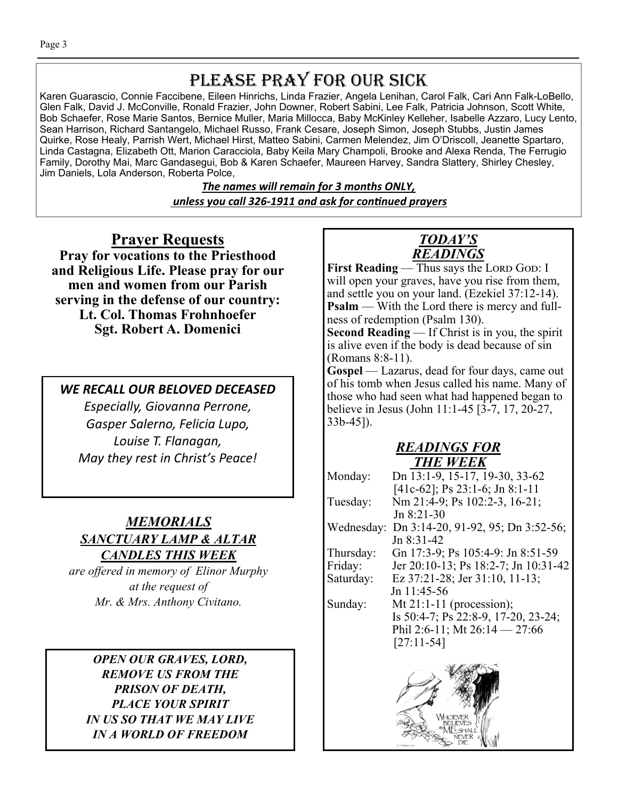## PLEASE PRAY FOR OUR SICK

Karen Guarascio, Connie Faccibene, Eileen Hinrichs, Linda Frazier, Angela Lenihan, Carol Falk, Cari Ann Falk-LoBello, Glen Falk, David J. McConville, Ronald Frazier, John Downer, Robert Sabini, Lee Falk, Patricia Johnson, Scott White, Bob Schaefer, Rose Marie Santos, Bernice Muller, Maria Millocca, Baby McKinley Kelleher, Isabelle Azzaro, Lucy Lento, Sean Harrison, Richard Santangelo, Michael Russo, Frank Cesare, Joseph Simon, Joseph Stubbs, Justin James Quirke, Rose Healy, Parrish Wert, Michael Hirst, Matteo Sabini, Carmen Melendez, Jim O'Driscoll, Jeanette Spartaro, Linda Castagna, Elizabeth Ott, Marion Caracciola, Baby Keila Mary Champoli, Brooke and Alexa Renda, The Ferrugio Family, Dorothy Mai, Marc Gandasegui, Bob & Karen Schaefer, Maureen Harvey, Sandra Slattery, Shirley Chesley, Jim Daniels, Lola Anderson, Roberta Polce,

> *The names will remain for 3 months ONLY, unless you call 326-1911 and ask for conƟnued prayers*

**Prayer Requests Pray for vocations to the Priesthood and Religious Life. Please pray for our men and women from our Parish serving in the defense of our country: Lt. Col. Thomas Frohnhoefer Sgt. Robert A. Domenici** 

*WE RECALL OUR BELOVED DECEASED Especially, Giovanna Perrone, Gasper Salerno, Felicia Lupo, Louise T. Flanagan, May they rest in Christ's Peace!* 

## *MEMORIALS SANCTUARY LAMP & ALTAR CANDLES THIS WEEK*

*are offered in memory of Elinor Murphy at the request of Mr. & Mrs. Anthony Civitano.* 

*OPEN OUR GRAVES, LORD, REMOVE US FROM THE PRISON OF DEATH, PLACE YOUR SPIRIT IN US SO THAT WE MAY LIVE IN A WORLD OF FREEDOM* 

## *TODAY'S READINGS*

**First Reading** — Thus says the LORD GOD: I will open your graves, have you rise from them, and settle you on your land. (Ezekiel 37:12-14). **Psalm** — With the Lord there is mercy and fullness of redemption (Psalm 130).

**Second Reading** — If Christ is in you, the spirit is alive even if the body is dead because of sin (Romans 8:8-11).

**Gospel** — Lazarus, dead for four days, came out of his tomb when Jesus called his name. Many of those who had seen what had happened began to believe in Jesus (John 11:1-45 [3-7, 17, 20-27, 33b-45]).

## *READINGS FOR THE WEEK*

| Monday:   | Dn 13:1-9, 15-17, 19-30, 33-62                |
|-----------|-----------------------------------------------|
|           | $[41c-62]$ ; Ps 23:1-6; Jn 8:1-11             |
| Tuesday:  | Nm 21:4-9; Ps 102:2-3, 16-21;                 |
|           | Jn $8:21-30$                                  |
|           | Wednesday: Dn 3:14-20, 91-92, 95; Dn 3:52-56; |
|           | Jn $8:31-42$                                  |
| Thursday: | Gn 17:3-9; Ps 105:4-9: Jn 8:51-59             |
| Friday:   | Jer 20:10-13; Ps 18:2-7; Jn 10:31-42          |
| Saturday: | Ez 37:21-28; Jer 31:10, 11-13;                |
|           | Jn 11:45-56                                   |
| Sunday:   | Mt $21:1-11$ (procession);                    |
|           | Is 50:4-7; Ps 22:8-9, 17-20, 23-24;           |
|           | Phil 2:6-11; Mt $26:14 - 27:66$               |
|           | $[27:11-54]$                                  |
|           |                                               |

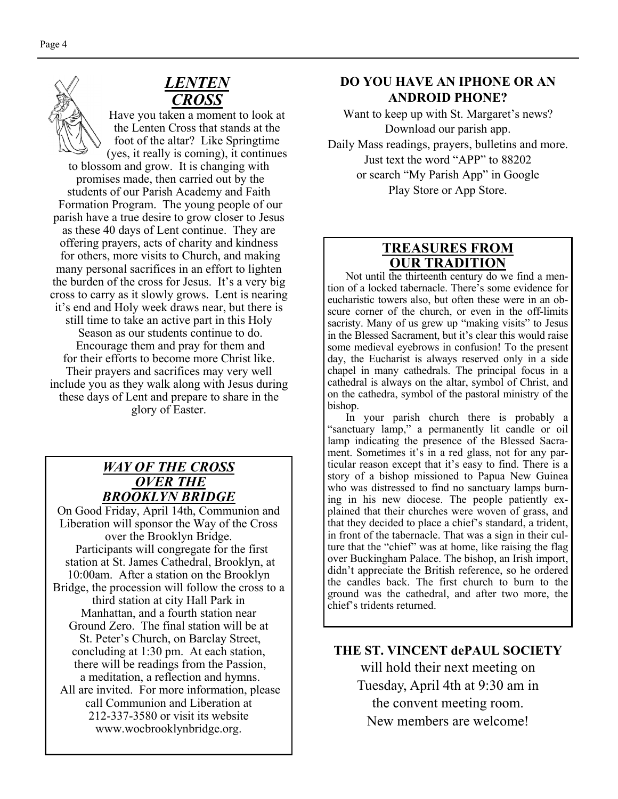## *LENTEN CROSS*

Have you taken a moment to look at the Lenten Cross that stands at the foot of the altar? Like Springtime (yes, it really is coming), it continues to blossom and grow. It is changing with promises made, then carried out by the students of our Parish Academy and Faith Formation Program. The young people of our parish have a true desire to grow closer to Jesus as these 40 days of Lent continue. They are offering prayers, acts of charity and kindness for others, more visits to Church, and making many personal sacrifices in an effort to lighten the burden of the cross for Jesus. It's a very big cross to carry as it slowly grows. Lent is nearing it's end and Holy week draws near, but there is still time to take an active part in this Holy Season as our students continue to do. Encourage them and pray for them and for their efforts to become more Christ like. Their prayers and sacrifices may very well include you as they walk along with Jesus during these days of Lent and prepare to share in the glory of Easter.

#### *WAY OF THE CROSS OVER THE BROOKLYN BRIDGE*

On Good Friday, April 14th, Communion and Liberation will sponsor the Way of the Cross over the Brooklyn Bridge. Participants will congregate for the first station at St. James Cathedral, Brooklyn, at 10:00am. After a station on the Brooklyn Bridge, the procession will follow the cross to a third station at city Hall Park in Manhattan, and a fourth station near Ground Zero. The final station will be at St. Peter's Church, on Barclay Street, concluding at 1:30 pm. At each station, there will be readings from the Passion, a meditation, a reflection and hymns. All are invited. For more information, please call Communion and Liberation at 212-337-3580 or visit its website www.wocbrooklynbridge.org.

## **DO YOU HAVE AN IPHONE OR AN ANDROID PHONE?**

Want to keep up with St. Margaret's news? Download our parish app. Daily Mass readings, prayers, bulletins and more. Just text the word "APP" to 88202 or search "My Parish App" in Google Play Store or App Store.

## **TREASURES FROM OUR TRADITION**

 Not until the thirteenth century do we find a mention of a locked tabernacle. There's some evidence for eucharistic towers also, but often these were in an obscure corner of the church, or even in the off-limits sacristy. Many of us grew up "making visits" to Jesus in the Blessed Sacrament, but it's clear this would raise some medieval eyebrows in confusion! To the present day, the Eucharist is always reserved only in a side chapel in many cathedrals. The principal focus in a cathedral is always on the altar, symbol of Christ, and on the cathedra, symbol of the pastoral ministry of the bishop.

 In your parish church there is probably a "sanctuary lamp," a permanently lit candle or oil lamp indicating the presence of the Blessed Sacrament. Sometimes it's in a red glass, not for any particular reason except that it's easy to find. There is a story of a bishop missioned to Papua New Guinea who was distressed to find no sanctuary lamps burning in his new diocese. The people patiently explained that their churches were woven of grass, and that they decided to place a chief's standard, a trident, in front of the tabernacle. That was a sign in their culture that the "chief" was at home, like raising the flag over Buckingham Palace. The bishop, an Irish import, didn't appreciate the British reference, so he ordered the candles back. The first church to burn to the ground was the cathedral, and after two more, the chief's tridents returned.

## **THE ST. VINCENT dePAUL SOCIETY**

will hold their next meeting on Tuesday, April 4th at 9:30 am in the convent meeting room. New members are welcome!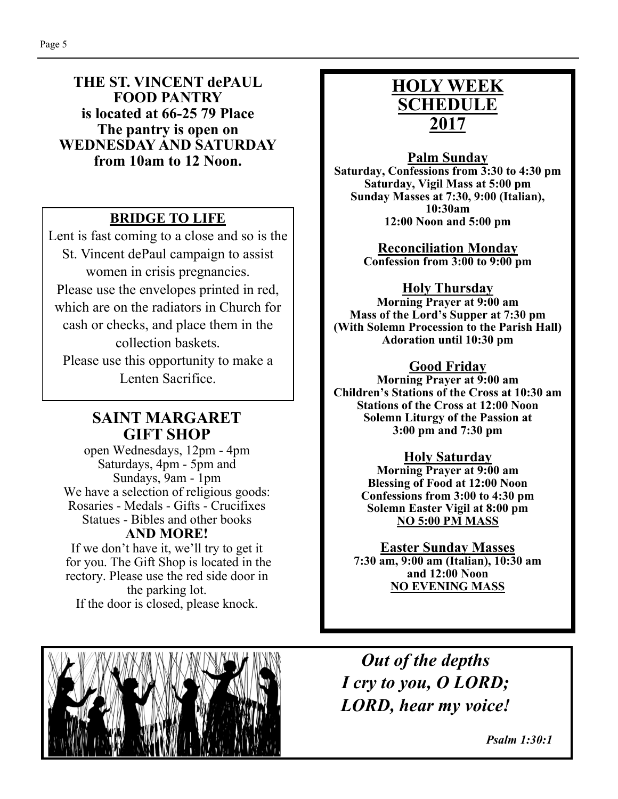## **THE ST. VINCENT dePAUL FOOD PANTRY is located at 66-25 79 Place The pantry is open on WEDNESDAY AND SATURDAY from 10am to 12 Noon.**

## **BRIDGE TO LIFE**

Lent is fast coming to a close and so is the St. Vincent dePaul campaign to assist women in crisis pregnancies. Please use the envelopes printed in red, which are on the radiators in Church for cash or checks, and place them in the collection baskets. Please use this opportunity to make a Lenten Sacrifice.

## **SAINT MARGARET GIFT SHOP**

open Wednesdays, 12pm - 4pm Saturdays, 4pm - 5pm and Sundays, 9am - 1pm We have a selection of religious goods: Rosaries - Medals - Gifts - Crucifixes Statues - Bibles and other books **AND MORE!** 

If we don't have it, we'll try to get it for you. The Gift Shop is located in the rectory. Please use the red side door in the parking lot. If the door is closed, please knock.



#### **Palm Sunday**

**Saturday, Confessions from 3:30 to 4:30 pm Saturday, Vigil Mass at 5:00 pm Sunday Masses at 7:30, 9:00 (Italian), 10:30am 12:00 Noon and 5:00 pm** 

> **Reconciliation Monday Confession from 3:00 to 9:00 pm**

#### **Holy Thursday**

**Morning Prayer at 9:00 am Mass of the Lord's Supper at 7:30 pm (With Solemn Procession to the Parish Hall) Adoration until 10:30 pm** 

#### **Good Friday**

**Morning Prayer at 9:00 am Children's Stations of the Cross at 10:30 am Stations of the Cross at 12:00 Noon Solemn Liturgy of the Passion at 3:00 pm and 7:30 pm** 

#### **Holy Saturday**

**Morning Prayer at 9:00 am Blessing of Food at 12:00 Noon Confessions from 3:00 to 4:30 pm Solemn Easter Vigil at 8:00 pm NO 5:00 PM MASS** 

#### **Easter Sunday Masses**

**7:30 am, 9:00 am (Italian), 10:30 am and 12:00 Noon NO EVENING MASS** 



*Out of the depths I cry to you, O LORD; LORD, hear my voice!* 

 *Psalm 1:30:1*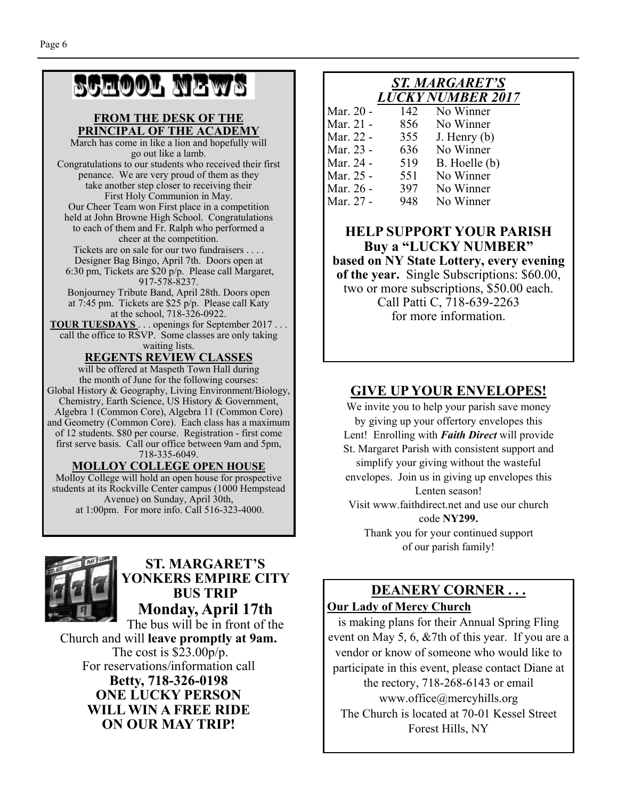# SCHOOL NEWS

#### **FROM THE DESK OF THE PRINCIPAL OF THE ACADEMY**

March has come in like a lion and hopefully will go out like a lamb. Congratulations to our students who received their first penance. We are very proud of them as they take another step closer to receiving their First Holy Communion in May. Our Cheer Team won First place in a competition held at John Browne High School. Congratulations to each of them and Fr. Ralph who performed a cheer at the competition. Tickets are on sale for our two fundraisers . . . . Designer Bag Bingo, April 7th. Doors open at 6:30 pm, Tickets are \$20 p/p. Please call Margaret, 917-578-8237. Bonjourney Tribute Band, April 28th. Doors open at 7:45 pm. Tickets are \$25 p/p. Please call Katy

at the school, 718-326-0922. **TOUR TUESDAYS** . . . openings for September 2017 . . .

call the office to RSVP. Some classes are only taking waiting lists.

#### **REGENTS REVIEW CLASSES**

will be offered at Maspeth Town Hall during the month of June for the following courses: Global History & Geography, Living Environment/Biology, Chemistry, Earth Science, US History & Government, Algebra 1 (Common Core), Algebra 11 (Common Core) and Geometry (Common Core). Each class has a maximum of 12 students. \$80 per course. Registration - first come first serve basis. Call our office between 9am and 5pm, 718-335-6049.

#### **MOLLOY COLLEGE OPEN HOUSE**

Molloy College will hold an open house for prospective students at its Rockville Center campus (1000 Hempstead Avenue) on Sunday, April 30th, at 1:00pm. For more info. Call 516-323-4000.



## **ST. MARGARET'S YONKERS EMPIRE CITY BUS TRIP Monday, April 17th**

The bus will be in front of the Church and will **leave promptly at 9am.**  The cost is \$23.00p/p. For reservations/information call **Betty, 718-326-0198 ONE LUCKY PERSON WILL WIN A FREE RIDE ON OUR MAY TRIP!** 

## *ST. MARGARET'S LUCKY NUMBER 2017*

| 142 | No Winner        |
|-----|------------------|
| 856 | No Winner        |
| 355 | $J.$ Henry $(b)$ |
| 636 | No Winner        |
| 519 | B. Hoelle (b)    |
| 551 | No Winner        |
| 397 | No Winner        |
| 948 | No Winner        |
|     |                  |

## **HELP SUPPORT YOUR PARISH Buy a "LUCKY NUMBER"**

**based on NY State Lottery, every evening of the year.** Single Subscriptions: \$60.00, two or more subscriptions, \$50.00 each. Call Patti C, 718-639-2263 for more information.

#### **GIVE UP YOUR ENVELOPES!**

We invite you to help your parish save money by giving up your offertory envelopes this Lent! Enrolling with *Faith Direct* will provide St. Margaret Parish with consistent support and simplify your giving without the wasteful envelopes. Join us in giving up envelopes this Lenten season! Visit www.faithdirect.net and use our church code **NY299.**  Thank you for your continued support

of our parish family!

#### **DEANERY CORNER . . . Our Lady of Mercy Church**

is making plans for their Annual Spring Fling event on May 5, 6, &7th of this year. If you are a vendor or know of someone who would like to participate in this event, please contact Diane at the rectory, 718-268-6143 or email www.office@mercyhills.org The Church is located at 70-01 Kessel Street Forest Hills, NY